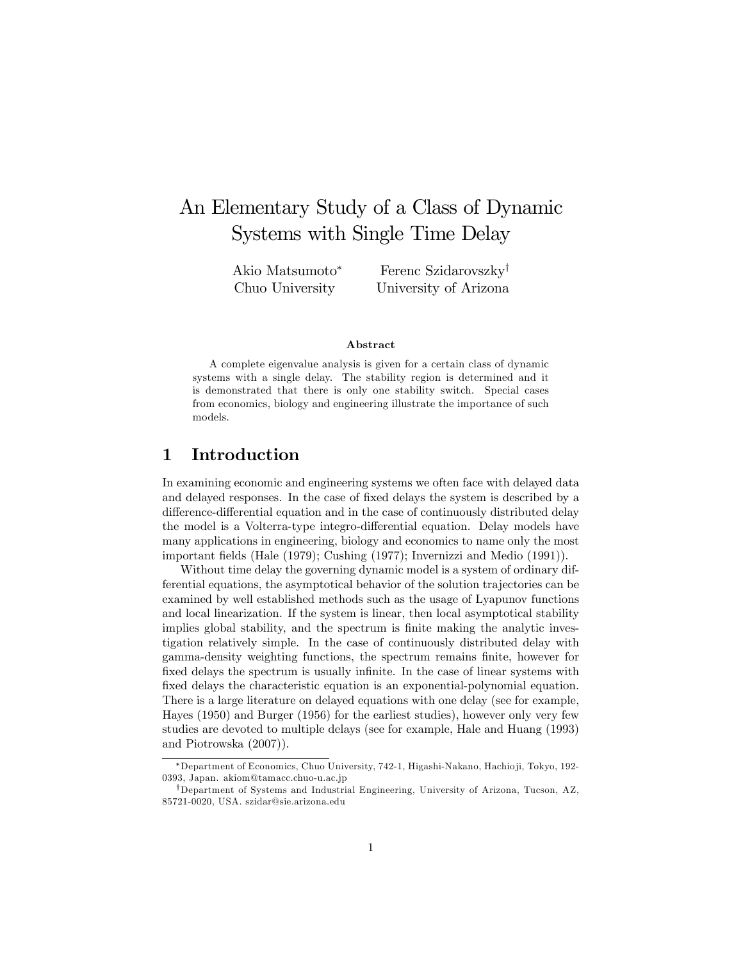# An Elementary Study of a Class of Dynamic Systems with Single Time Delay

Akio Matsumoto Chuo University

Ferenc Szidarovszky<sup>†</sup> University of Arizona

#### Abstract

A complete eigenvalue analysis is given for a certain class of dynamic systems with a single delay. The stability region is determined and it is demonstrated that there is only one stability switch. Special cases from economics, biology and engineering illustrate the importance of such models.

### 1 Introduction

In examining economic and engineering systems we often face with delayed data and delayed responses. In the case of fixed delays the system is described by a difference-differential equation and in the case of continuously distributed delay the model is a Volterra-type integro-differential equation. Delay models have many applications in engineering, biology and economics to name only the most important fields (Hale (1979); Cushing (1977); Invernizzi and Medio (1991)).

Without time delay the governing dynamic model is a system of ordinary differential equations, the asymptotical behavior of the solution trajectories can be examined by well established methods such as the usage of Lyapunov functions and local linearization. If the system is linear, then local asymptotical stability implies global stability, and the spectrum is finite making the analytic investigation relatively simple. In the case of continuously distributed delay with gamma-density weighting functions, the spectrum remains Önite, however for fixed delays the spectrum is usually infinite. In the case of linear systems with fixed delays the characteristic equation is an exponential-polynomial equation. There is a large literature on delayed equations with one delay (see for example, Hayes (1950) and Burger (1956) for the earliest studies), however only very few studies are devoted to multiple delays (see for example, Hale and Huang (1993) and Piotrowska (2007)).

<sup>\*</sup>Department of Economics, Chuo University, 742-1, Higashi-Nakano, Hachioji, Tokyo, 192-0393, Japan. akiom@tamacc.chuo-u.ac.jp

<sup>&</sup>lt;sup>†</sup>Department of Systems and Industrial Engineering, University of Arizona, Tucson, AZ, 85721-0020, USA. szidar@sie.arizona.edu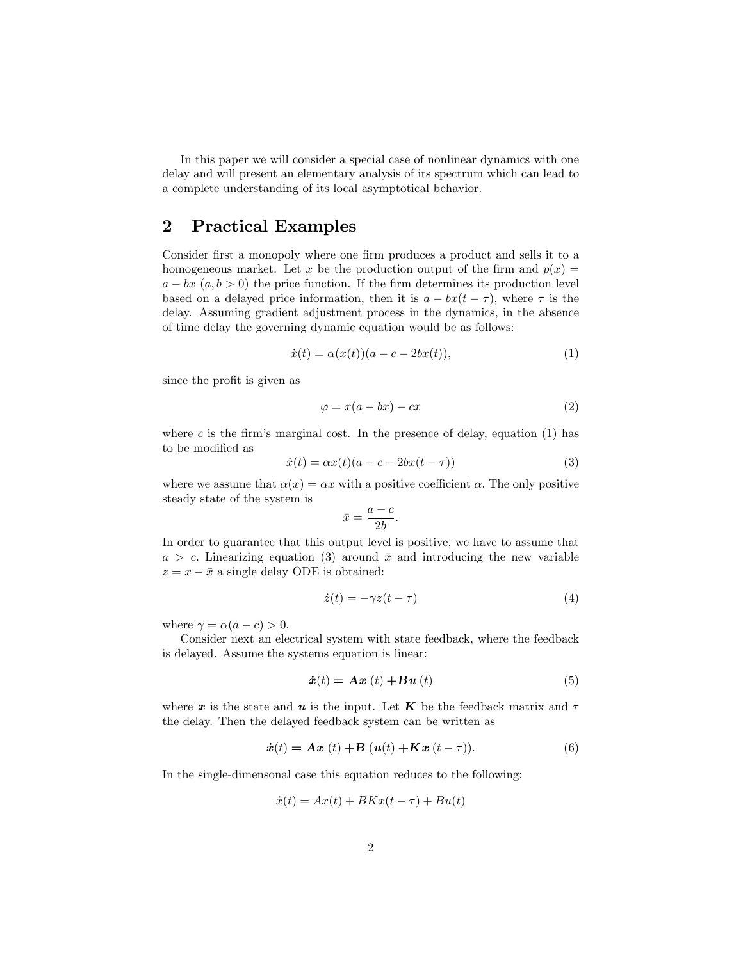In this paper we will consider a special case of nonlinear dynamics with one delay and will present an elementary analysis of its spectrum which can lead to a complete understanding of its local asymptotical behavior.

### 2 Practical Examples

Consider first a monopoly where one firm produces a product and sells it to a homogeneous market. Let x be the production output of the firm and  $p(x) =$  $a - bx$   $(a, b > 0)$  the price function. If the firm determines its production level based on a delayed price information, then it is  $a - bx(t - \tau)$ , where  $\tau$  is the delay. Assuming gradient adjustment process in the dynamics, in the absence of time delay the governing dynamic equation would be as follows:

$$
\dot{x}(t) = \alpha(x(t))(a - c - 2bx(t)),\tag{1}
$$

since the profit is given as

$$
\varphi = x(a - bx) - cx \tag{2}
$$

where c is the firm's marginal cost. In the presence of delay, equation  $(1)$  has to be modified as

$$
\dot{x}(t) = \alpha x(t)(a - c - 2bx(t - \tau))\tag{3}
$$

where we assume that  $\alpha(x) = \alpha x$  with a positive coefficient  $\alpha$ . The only positive steady state of the system is

$$
\bar{x} = \frac{a - c}{2b}.
$$

In order to guarantee that this output level is positive, we have to assume that  $a > c$ . Linearizing equation (3) around  $\bar{x}$  and introducing the new variable  $z = x - \bar{x}$  a single delay ODE is obtained:

$$
\dot{z}(t) = -\gamma z(t - \tau) \tag{4}
$$

where  $\gamma = \alpha(a - c) > 0$ .

Consider next an electrical system with state feedback, where the feedback is delayed. Assume the systems equation is linear:

$$
\dot{\boldsymbol{x}}(t) = \boldsymbol{A}\boldsymbol{x}\ (t) + \boldsymbol{B}\boldsymbol{u}\ (t) \tag{5}
$$

where x is the state and u is the input. Let K be the feedback matrix and  $\tau$ the delay. Then the delayed feedback system can be written as

$$
\dot{x}(t) = \mathbf{A}\mathbf{x}(t) + \mathbf{B}(\mathbf{u}(t) + \mathbf{K}\mathbf{x}(t-\tau)).
$$
\n(6)

In the single-dimensonal case this equation reduces to the following:

$$
\dot{x}(t) = Ax(t) + BKx(t - \tau) + Bu(t)
$$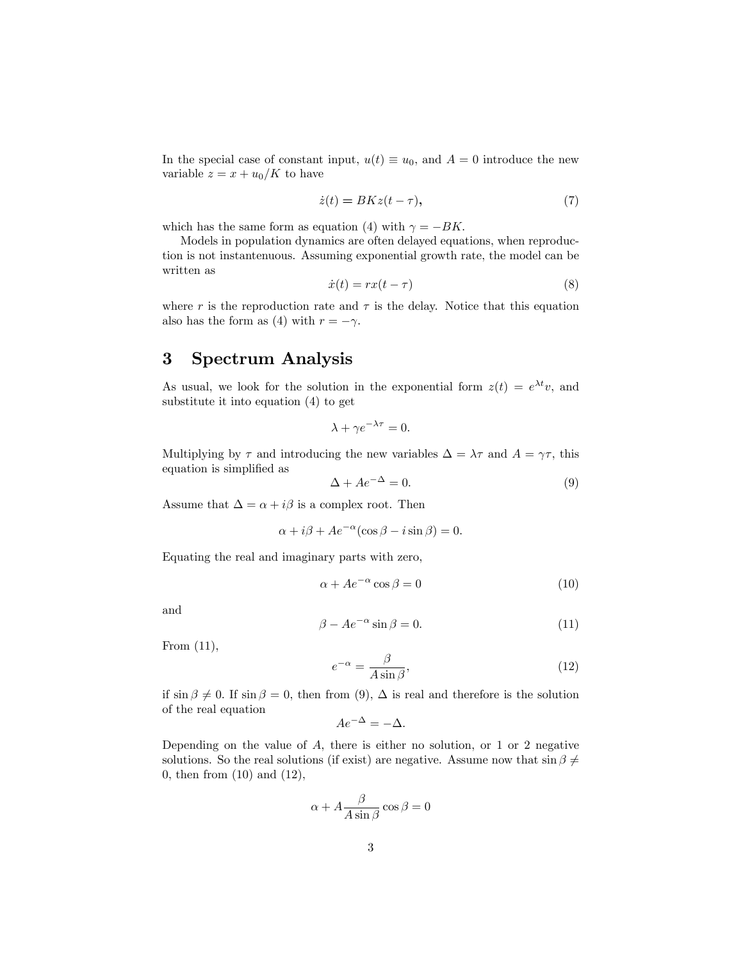In the special case of constant input,  $u(t) \equiv u_0$ , and  $A = 0$  introduce the new variable  $z = x + u_0/K$  to have

$$
\dot{z}(t) = BK z(t - \tau),\tag{7}
$$

which has the same form as equation (4) with  $\gamma = -BK$ .

Models in population dynamics are often delayed equations, when reproduction is not instantenuous. Assuming exponential growth rate, the model can be written as

$$
\dot{x}(t) = rx(t - \tau) \tag{8}
$$

where r is the reproduction rate and  $\tau$  is the delay. Notice that this equation also has the form as (4) with  $r = -\gamma$ .

## 3 Spectrum Analysis

As usual, we look for the solution in the exponential form  $z(t) = e^{\lambda t}v$ , and substitute it into equation (4) to get

$$
\lambda + \gamma e^{-\lambda \tau} = 0.
$$

Multiplying by  $\tau$  and introducing the new variables  $\Delta = \lambda \tau$  and  $A = \gamma \tau$ , this equation is simplified as

$$
\Delta + Ae^{-\Delta} = 0. \tag{9}
$$

Assume that  $\Delta = \alpha + i\beta$  is a complex root. Then

$$
\alpha + i\beta + Ae^{-\alpha}(\cos\beta - i\sin\beta) = 0.
$$

Equating the real and imaginary parts with zero,

$$
\alpha + Ae^{-\alpha}\cos\beta = 0\tag{10}
$$

and

$$
\beta - Ae^{-\alpha} \sin \beta = 0. \tag{11}
$$

From (11),

$$
e^{-\alpha} = \frac{\beta}{A \sin \beta},\tag{12}
$$

if  $\sin \beta \neq 0$ . If  $\sin \beta = 0$ , then from (9),  $\Delta$  is real and therefore is the solution of the real equation

$$
Ae^{-\Delta} = -\Delta.
$$

Depending on the value of A, there is either no solution, or 1 or 2 negative solutions. So the real solutions (if exist) are negative. Assume now that  $\sin \beta \neq$ 0; then from (10) and (12),

$$
\alpha + A \frac{\beta}{A \sin \beta} \cos \beta = 0
$$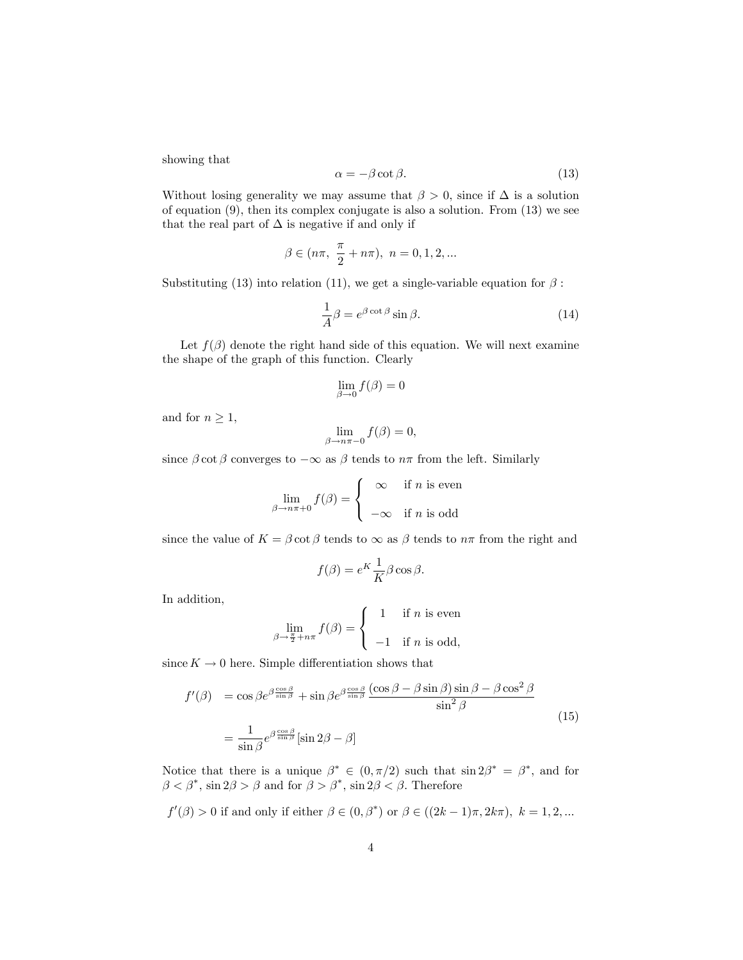showing that

$$
\alpha = -\beta \cot \beta. \tag{13}
$$

Without losing generality we may assume that  $\beta > 0$ , since if  $\Delta$  is a solution of equation (9), then its complex conjugate is also a solution. From (13) we see that the real part of  $\Delta$  is negative if and only if

$$
\beta \in (n\pi, \ \frac{\pi}{2} + n\pi), \ n = 0, 1, 2, ...
$$

Substituting (13) into relation (11), we get a single-variable equation for  $\beta$ :

$$
\frac{1}{A}\beta = e^{\beta \cot \beta} \sin \beta.
$$
 (14)

Let  $f(\beta)$  denote the right hand side of this equation. We will next examine the shape of the graph of this function. Clearly

$$
\lim_{\beta \to 0} f(\beta) = 0
$$

and for  $n \geq 1$ ,

$$
\lim_{\beta \to n\pi - 0} f(\beta) = 0,
$$

since  $\beta \cot \beta$  converges to  $-\infty$  as  $\beta$  tends to  $n\pi$  from the left. Similarly

$$
\lim_{\beta \to n\pi + 0} f(\beta) = \begin{cases} \infty & \text{if } n \text{ is even} \\ -\infty & \text{if } n \text{ is odd} \end{cases}
$$

since the value of  $K = \beta \cot \beta$  tends to  $\infty$  as  $\beta$  tends to  $n\pi$  from the right and

$$
f(\beta) = e^K \frac{1}{K} \beta \cos \beta.
$$

In addition,

$$
\lim_{\beta \to \frac{\pi}{2} + n\pi} f(\beta) = \begin{cases} 1 & \text{if } n \text{ is even} \\ -1 & \text{if } n \text{ is odd,} \end{cases}
$$

since  $K \to 0$  here. Simple differentiation shows that

$$
f'(\beta) = \cos \beta e^{\beta \frac{\cos \beta}{\sin \beta}} + \sin \beta e^{\beta \frac{\cos \beta}{\sin \beta}} \frac{(\cos \beta - \beta \sin \beta) \sin \beta - \beta \cos^2 \beta}{\sin^2 \beta}
$$
  

$$
= \frac{1}{\sin \beta} e^{\beta \frac{\cos \beta}{\sin \beta}} [\sin 2\beta - \beta]
$$
 (15)

Notice that there is a unique  $\beta^* \in (0, \pi/2)$  such that  $\sin 2\beta^* = \beta^*$ , and for  $\beta < \beta^*$ , sin  $2\beta > \beta$  and for  $\beta > \beta^*$ , sin  $2\beta < \beta$ . Therefore

$$
f'(\beta) > 0
$$
 if and only if either  $\beta \in (0, \beta^*)$  or  $\beta \in ((2k-1)\pi, 2k\pi), k = 1, 2, ...$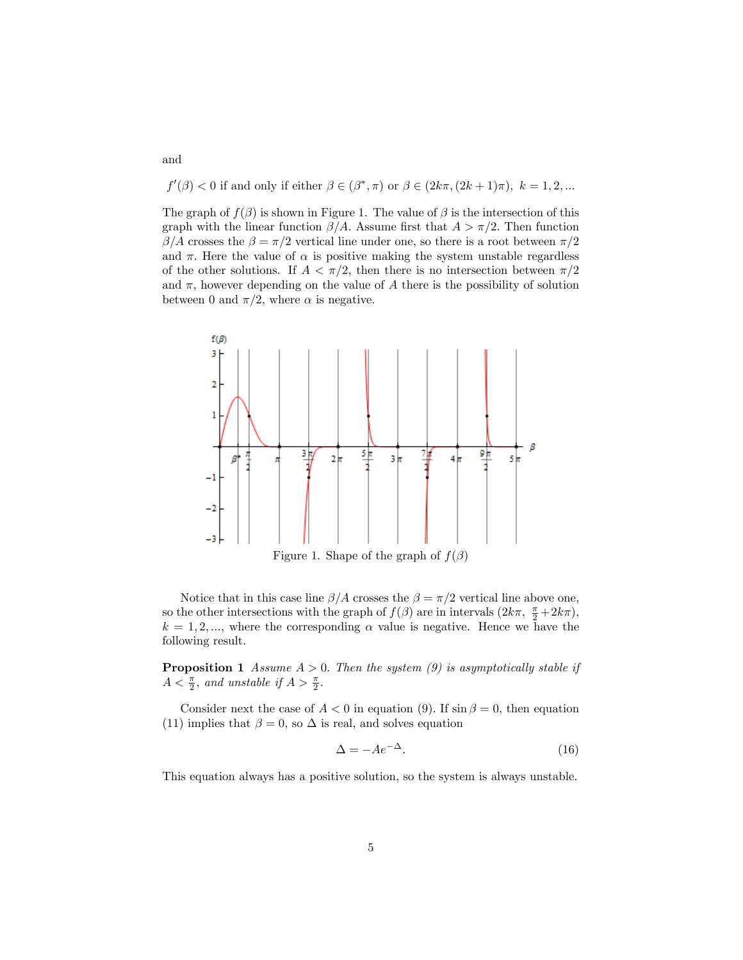$f'(\beta) < 0$  if and only if either  $\beta \in (\beta^*, \pi)$  or  $\beta \in (2k\pi, (2k+1)\pi)$ ,  $k = 1, 2, ...$ 

The graph of  $f(\beta)$  is shown in Figure 1. The value of  $\beta$  is the intersection of this graph with the linear function  $\beta/A$ . Assume first that  $A > \pi/2$ . Then function  $\beta/A$  crosses the  $\beta = \pi/2$  vertical line under one, so there is a root between  $\pi/2$ and  $\pi$ . Here the value of  $\alpha$  is positive making the system unstable regardless of the other solutions. If  $A < \pi/2$ , then there is no intersection between  $\pi/2$ and  $\pi$ , however depending on the value of A there is the possibility of solution between 0 and  $\pi/2$ , where  $\alpha$  is negative.



Figure 1. Shape of the graph of  $f(\beta)$ 

Notice that in this case line  $\beta/A$  crosses the  $\beta = \pi/2$  vertical line above one, so the other intersections with the graph of  $f(\beta)$  are in intervals  $(2k\pi, \frac{\pi}{2} + 2k\pi)$ ,  $k = 1, 2, \dots$ , where the corresponding  $\alpha$  value is negative. Hence we have the following result.

**Proposition 1** Assume  $A > 0$ . Then the system (9) is asymptotically stable if  $A < \frac{\pi}{2}$ , and unstable if  $A > \frac{\pi}{2}$ .

Consider next the case of  $A < 0$  in equation (9). If  $\sin \beta = 0$ , then equation (11) implies that  $\beta = 0$ , so  $\Delta$  is real, and solves equation

$$
\Delta = -Ae^{-\Delta}.\tag{16}
$$

This equation always has a positive solution, so the system is always unstable.

and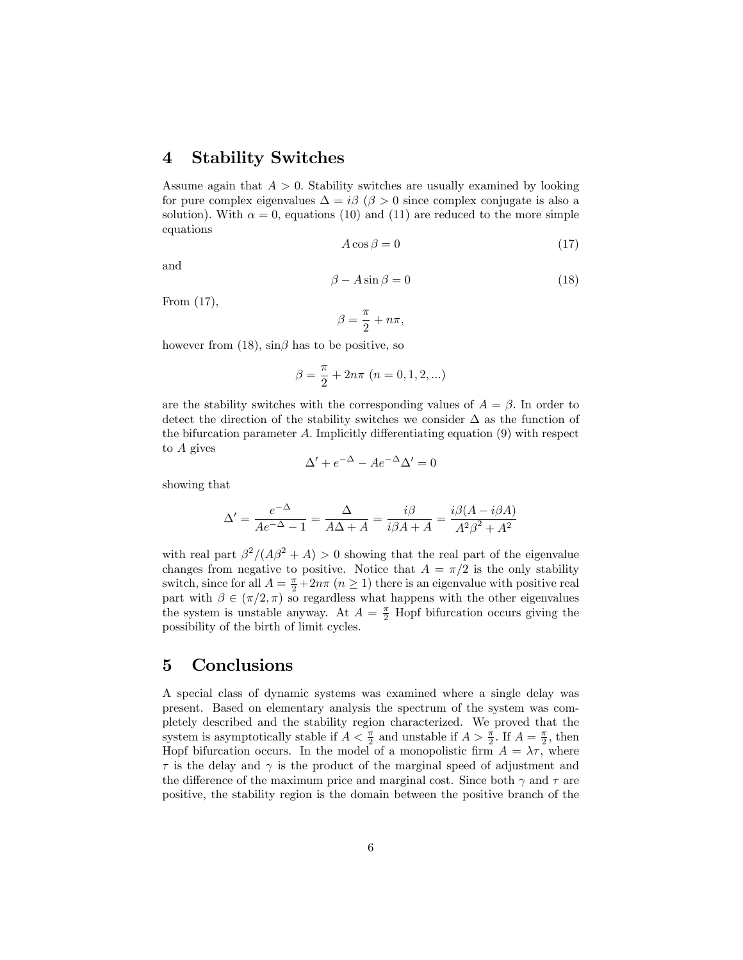#### 4 Stability Switches

Assume again that  $A > 0$ . Stability switches are usually examined by looking for pure complex eigenvalues  $\Delta = i\beta$  ( $\beta > 0$  since complex conjugate is also a solution). With  $\alpha = 0$ , equations (10) and (11) are reduced to the more simple equations

$$
A\cos\beta = 0\tag{17}
$$

and

$$
\beta - A\sin\beta = 0\tag{18}
$$

From (17),

$$
\beta = \frac{\pi}{2} + n\pi,
$$

however from (18),  $\sin\beta$  has to be positive, so

$$
\beta = \frac{\pi}{2} + 2n\pi \ (n = 0, 1, 2, \ldots)
$$

are the stability switches with the corresponding values of  $A = \beta$ . In order to detect the direction of the stability switches we consider  $\Delta$  as the function of the bifurcation parameter  $A$ . Implicitly differentiating equation  $(9)$  with respect to A gives

$$
\Delta' + e^{-\Delta} - Ae^{-\Delta}\Delta' = 0
$$

showing that

$$
\Delta' = \frac{e^{-\Delta}}{Ae^{-\Delta} - 1} = \frac{\Delta}{A\Delta + A} = \frac{i\beta}{i\beta A + A} = \frac{i\beta(A - i\beta A)}{A^2 \beta^2 + A^2}
$$

with real part  $\beta^2/(A\beta^2 + A) > 0$  showing that the real part of the eigenvalue changes from negative to positive. Notice that  $A = \pi/2$  is the only stability switch, since for all  $A = \frac{\pi}{2} + 2n\pi$   $(n \ge 1)$  there is an eigenvalue with positive real part with  $\beta \in (\pi/2, \pi)$  so regardless what happens with the other eigenvalues the system is unstable anyway. At  $A = \frac{\pi}{2}$  Hopf bifurcation occurs giving the possibility of the birth of limit cycles.

#### 5 Conclusions

A special class of dynamic systems was examined where a single delay was present. Based on elementary analysis the spectrum of the system was completely described and the stability region characterized. We proved that the system is asymptotically stable if  $A < \frac{\pi}{2}$  and unstable if  $A > \frac{\pi}{2}$ . If  $A = \frac{\pi}{2}$ , then Hopf bifurcation occurs. In the model of a monopolistic firm  $A = \lambda \tau$ , where  $\tau$  is the delay and  $\gamma$  is the product of the marginal speed of adjustment and the difference of the maximum price and marginal cost. Since both  $\gamma$  and  $\tau$  are positive, the stability region is the domain between the positive branch of the